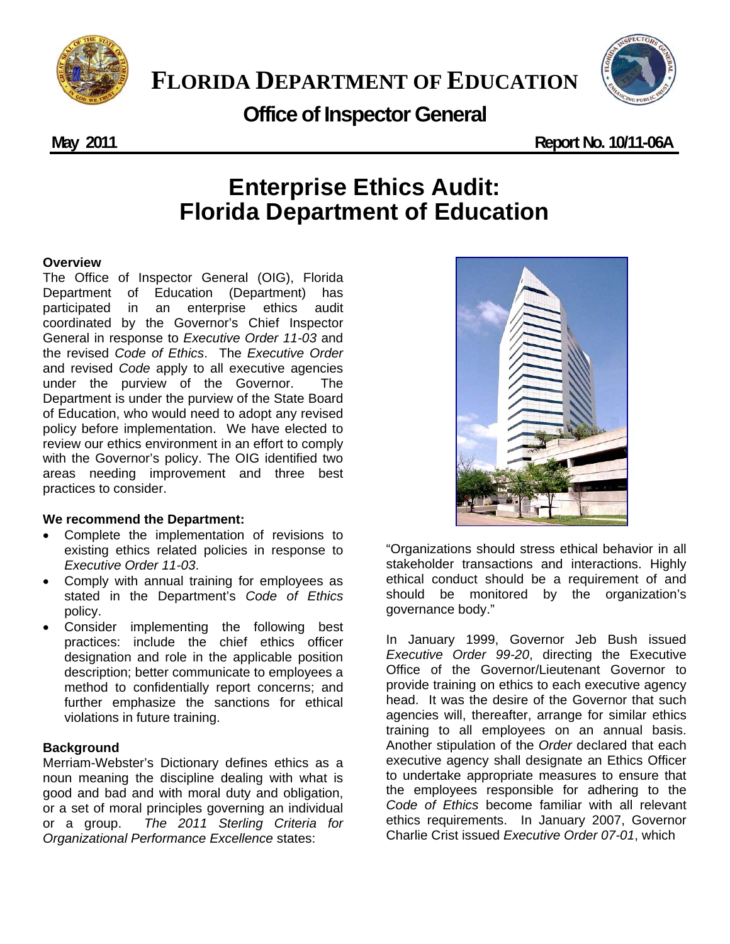



# **Office of Inspector General**

May 2011 **May 2011 May 2011 Report No. 10/11-06A** 

# **Enterprise Ethics Audit: Florida Department of Education**

## **Overview**

The Office of Inspector General (OIG), Florida Department of Education (Department) has participated in an enterprise ethics audit coordinated by the Governor's Chief Inspector General in response to *Executive Order 11-03* and the revised *Code of Ethics*. The *Executive Order*  and revised *Code* apply to all executive agencies under the purview of the Governor. The Department is under the purview of the State Board of Education, who would need to adopt any revised policy before implementation. We have elected to review our ethics environment in an effort to comply with the Governor's policy. The OIG identified two areas needing improvement and three best practices to consider.

#### **We recommend the Department:**

- Complete the implementation of revisions to existing ethics related policies in response to *Executive Order 11-03*.
- Comply with annual training for employees as stated in the Department's *Code of Ethics*  policy.
- Consider implementing the following best practices: include the chief ethics officer designation and role in the applicable position description; better communicate to employees a method to confidentially report concerns; and further emphasize the sanctions for ethical violations in future training.

# **Background**

Merriam-Webster's Dictionary defines ethics as a noun meaning the discipline dealing with what is good and bad and with moral duty and obligation, or a set of moral principles governing an individual or a group. *The 2011 Sterling Criteria for Organizational Performance Excellence* states:



"Organizations should stress ethical behavior in all stakeholder transactions and interactions. Highly ethical conduct should be a requirement of and should be monitored by the organization's governance body."

In January 1999, Governor Jeb Bush issued *Executive Order 99-20*, directing the Executive Office of the Governor/Lieutenant Governor to provide training on ethics to each executive agency head. It was the desire of the Governor that such agencies will, thereafter, arrange for similar ethics training to all employees on an annual basis. Another stipulation of the *Order* declared that each executive agency shall designate an Ethics Officer to undertake appropriate measures to ensure that the employees responsible for adhering to the *Code of Ethics* become familiar with all relevant ethics requirements. In January 2007, Governor Charlie Crist issued *Executive Order 07-01*, which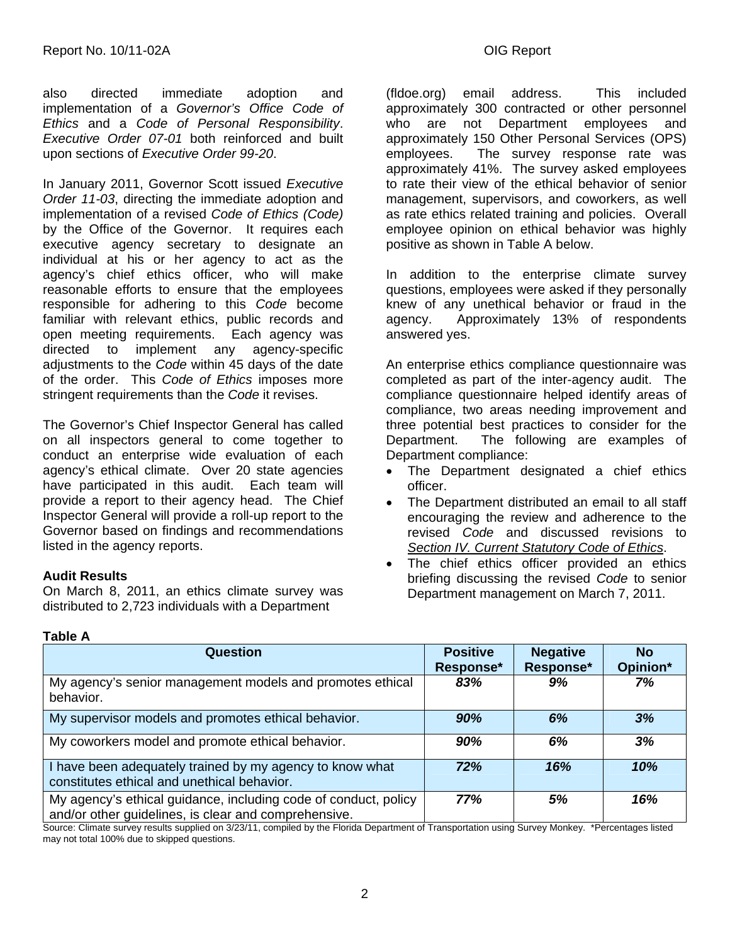also directed immediate adoption and implementation of a *Governor's Office Code of Ethics* and a *Code of Personal Responsibility*. *Executive Order 07-01* both reinforced and built upon sections of *Executive Order 99-20*.

In January 2011, Governor Scott issued *Executive Order 11-03*, directing the immediate adoption and implementation of a revised *Code of Ethics (Code)* by the Office of the Governor. It requires each executive agency secretary to designate an individual at his or her agency to act as the agency's chief ethics officer, who will make reasonable efforts to ensure that the employees responsible for adhering to this *Code* become familiar with relevant ethics, public records and open meeting requirements. Each agency was directed to implement any agency-specific adjustments to the *Code* within 45 days of the date of the order. This *Code of Ethics* imposes more stringent requirements than the *Code* it revises.

The Governor's Chief Inspector General has called on all inspectors general to come together to conduct an enterprise wide evaluation of each agency's ethical climate. Over 20 state agencies have participated in this audit. Each team will provide a report to their agency head. The Chief Inspector General will provide a roll-up report to the Governor based on findings and recommendations listed in the agency reports.

#### **Audit Results**

On March 8, 2011, an ethics climate survey was distributed to 2,723 individuals with a Department

(fldoe.org) email address. This included approximately 300 contracted or other personnel who are not Department employees and approximately 150 Other Personal Services (OPS) employees. The survey response rate was approximately 41%. The survey asked employees to rate their view of the ethical behavior of senior management, supervisors, and coworkers, as well as rate ethics related training and policies. Overall employee opinion on ethical behavior was highly positive as shown in Table A below.

In addition to the enterprise climate survey questions, employees were asked if they personally knew of any unethical behavior or fraud in the agency. Approximately 13% of respondents answered yes.

An enterprise ethics compliance questionnaire was completed as part of the inter-agency audit. The compliance questionnaire helped identify areas of compliance, two areas needing improvement and three potential best practices to consider for the Department. The following are examples of Department compliance:

- The Department designated a chief ethics officer.
- The Department distributed an email to all staff encouraging the review and adherence to the revised *Code* and discussed revisions to *Section IV. Current Statutory Code of Ethics*.
- The chief ethics officer provided an ethics briefing discussing the revised *Code* to senior Department management on March 7, 2011.

| Question                                                                                                                | <b>Positive</b><br>Response* | <b>Negative</b><br>Response* | <b>No</b><br>Opinion* |
|-------------------------------------------------------------------------------------------------------------------------|------------------------------|------------------------------|-----------------------|
| My agency's senior management models and promotes ethical<br>behavior.                                                  | 83%                          | 9%                           | 7%                    |
| My supervisor models and promotes ethical behavior.                                                                     | 90%                          | 6%                           | 3%                    |
| My coworkers model and promote ethical behavior.                                                                        | 90%                          | 6%                           | 3%                    |
| I have been adequately trained by my agency to know what<br>constitutes ethical and unethical behavior.                 | 72%                          | 16%                          | 10%                   |
| My agency's ethical guidance, including code of conduct, policy<br>and/or other guidelines, is clear and comprehensive. | 77%                          | 5%                           | 16%                   |

Source: Climate survey results supplied on 3/23/11, compiled by the Florida Department of Transportation using Survey Monkey. \*Percentages listed may not total 100% due to skipped questions.

# **Table A**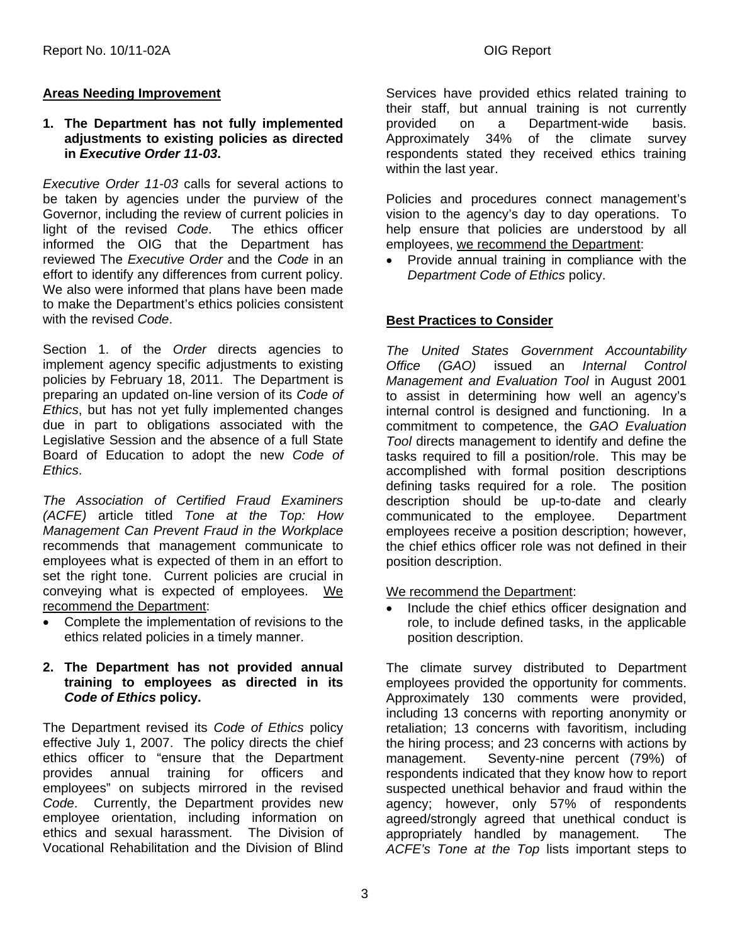# **Areas Needing Improvement**

#### **1. The Department has not fully implemented adjustments to existing policies as directed in** *Executive Order 11-03***.**

*Executive Order 11-03* calls for several actions to be taken by agencies under the purview of the Governor, including the review of current policies in light of the revised *Code*. The ethics officer informed the OIG that the Department has reviewed The *Executive Order* and the *Code* in an effort to identify any differences from current policy. We also were informed that plans have been made to make the Department's ethics policies consistent with the revised *Code*.

Section 1. of the *Order* directs agencies to implement agency specific adjustments to existing policies by February 18, 2011. The Department is preparing an updated on-line version of its *Code of Ethics*, but has not yet fully implemented changes due in part to obligations associated with the Legislative Session and the absence of a full State Board of Education to adopt the new *Code of Ethics*.

*The Association of Certified Fraud Examiners (ACFE)* article titled *Tone at the Top: How Management Can Prevent Fraud in the Workplace*  recommends that management communicate to employees what is expected of them in an effort to set the right tone. Current policies are crucial in conveying what is expected of employees. We recommend the Department:

• Complete the implementation of revisions to the ethics related policies in a timely manner.

#### **2. The Department has not provided annual training to employees as directed in its**  *Code of Ethics* **policy.**

The Department revised its *Code of Ethics* policy effective July 1, 2007. The policy directs the chief ethics officer to "ensure that the Department provides annual training for officers and employees" on subjects mirrored in the revised *Code*. Currently, the Department provides new employee orientation, including information on ethics and sexual harassment. The Division of Vocational Rehabilitation and the Division of Blind

Services have provided ethics related training to their staff, but annual training is not currently provided on a Department-wide basis.<br>Approximately 34% of the climate survey Approximately 34% of the climate survey respondents stated they received ethics training within the last year.

Policies and procedures connect management's vision to the agency's day to day operations. To help ensure that policies are understood by all employees, we recommend the Department:

• Provide annual training in compliance with the *Department Code of Ethics* policy.

# **Best Practices to Consider**

*The United States Government Accountability Office (GAO)* issued an *Internal Control Management and Evaluation Tool* in August 2001 to assist in determining how well an agency's internal control is designed and functioning. In a commitment to competence, the *GAO Evaluation Tool* directs management to identify and define the tasks required to fill a position/role. This may be accomplished with formal position descriptions defining tasks required for a role. The position description should be up-to-date and clearly communicated to the employee. Department employees receive a position description; however, the chief ethics officer role was not defined in their position description.

#### We recommend the Department:

 Include the chief ethics officer designation and role, to include defined tasks, in the applicable position description.

The climate survey distributed to Department employees provided the opportunity for comments. Approximately 130 comments were provided, including 13 concerns with reporting anonymity or retaliation; 13 concerns with favoritism, including the hiring process; and 23 concerns with actions by management. Seventy-nine percent (79%) of respondents indicated that they know how to report suspected unethical behavior and fraud within the agency; however, only 57% of respondents agreed/strongly agreed that unethical conduct is appropriately handled by management. The *ACFE's Tone at the Top* lists important steps to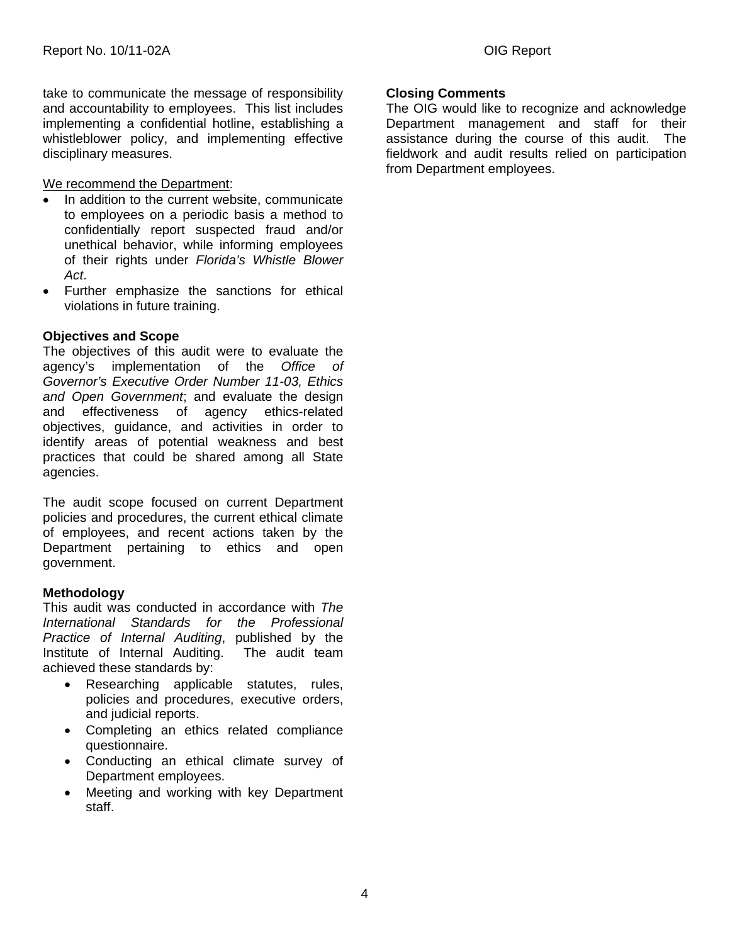take to communicate the message of responsibility and accountability to employees. This list includes implementing a confidential hotline, establishing a whistleblower policy, and implementing effective disciplinary measures.

We recommend the Department:

- In addition to the current website, communicate to employees on a periodic basis a method to confidentially report suspected fraud and/or unethical behavior, while informing employees of their rights under *Florida's Whistle Blower Act*.
- Further emphasize the sanctions for ethical violations in future training.

## **Objectives and Scope**

The objectives of this audit were to evaluate the agency's implementation of the *Office of Governor's Executive Order Number 11-03, Ethics and Open Government*; and evaluate the design and effectiveness of agency ethics-related objectives, guidance, and activities in order to identify areas of potential weakness and best practices that could be shared among all State agencies.

The audit scope focused on current Department policies and procedures, the current ethical climate of employees, and recent actions taken by the Department pertaining to ethics and open government.

#### **Methodology**

This audit was conducted in accordance with *The International Standards for the Professional Practice of Internal Auditing*, published by the Institute of Internal Auditing. The audit team achieved these standards by:

- Researching applicable statutes, rules, policies and procedures, executive orders, and judicial reports.
- Completing an ethics related compliance questionnaire.
- Conducting an ethical climate survey of Department employees.
- Meeting and working with key Department staff.

#### **Closing Comments**

The OIG would like to recognize and acknowledge Department management and staff for their assistance during the course of this audit. The fieldwork and audit results relied on participation from Department employees.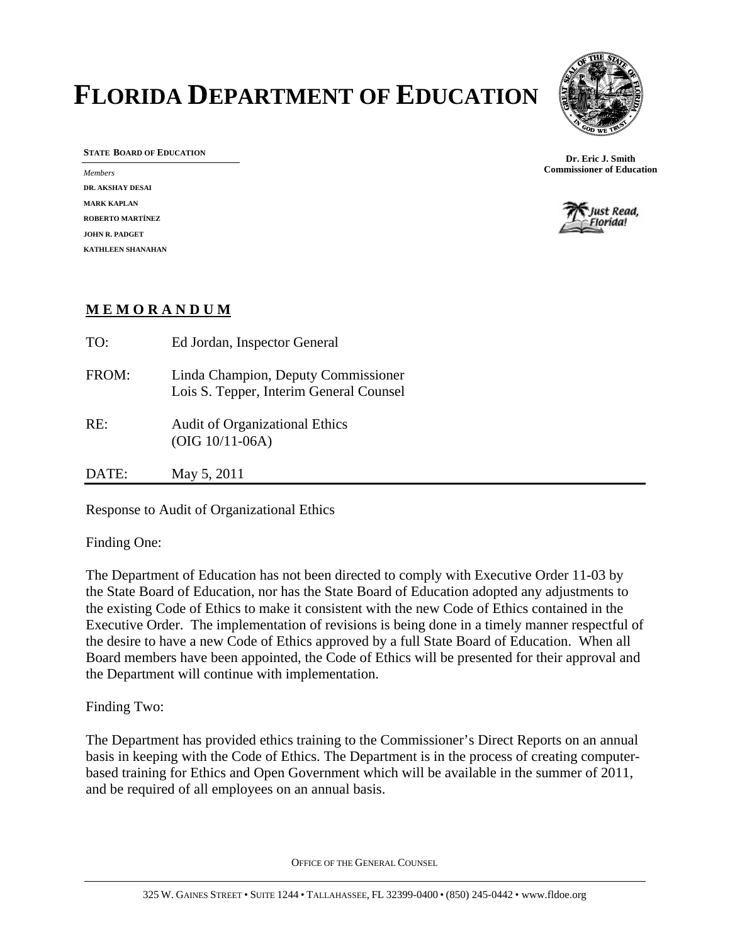# **FLORIDA DEPARTMENT OF EDUCATION**



**STATE BOARD OF EDUCATION**

*Members* **DR. AKSHAY DESAI MARK KAPLAN ROBERTO MARTÍNEZ JOHN R. PADGET KATHLEEN SHANAHAN** 





## **M E M O R A N D U M**

| TO:   | Ed Jordan, Inspector General                                                   |
|-------|--------------------------------------------------------------------------------|
| FROM: | Linda Champion, Deputy Commissioner<br>Lois S. Tepper, Interim General Counsel |
| RE:   | <b>Audit of Organizational Ethics</b><br>$(OIG 10/11-06A)$                     |
| DATE: | May 5, 2011                                                                    |

Response to Audit of Organizational Ethics

Finding One:

The Department of Education has not been directed to comply with Executive Order 11-03 by the State Board of Education, nor has the State Board of Education adopted any adjustments to the existing Code of Ethics to make it consistent with the new Code of Ethics contained in the Executive Order. The implementation of revisions is being done in a timely manner respectful of the desire to have a new Code of Ethics approved by a full State Board of Education. When all Board members have been appointed, the Code of Ethics will be presented for their approval and the Department will continue with implementation.

Finding Two:

The Department has provided ethics training to the Commissioner's Direct Reports on an annual basis in keeping with the Code of Ethics. The Department is in the process of creating computerbased training for Ethics and Open Government which will be available in the summer of 2011, and be required of all employees on an annual basis.

OFFICE OF THE GENERAL COUNSEL